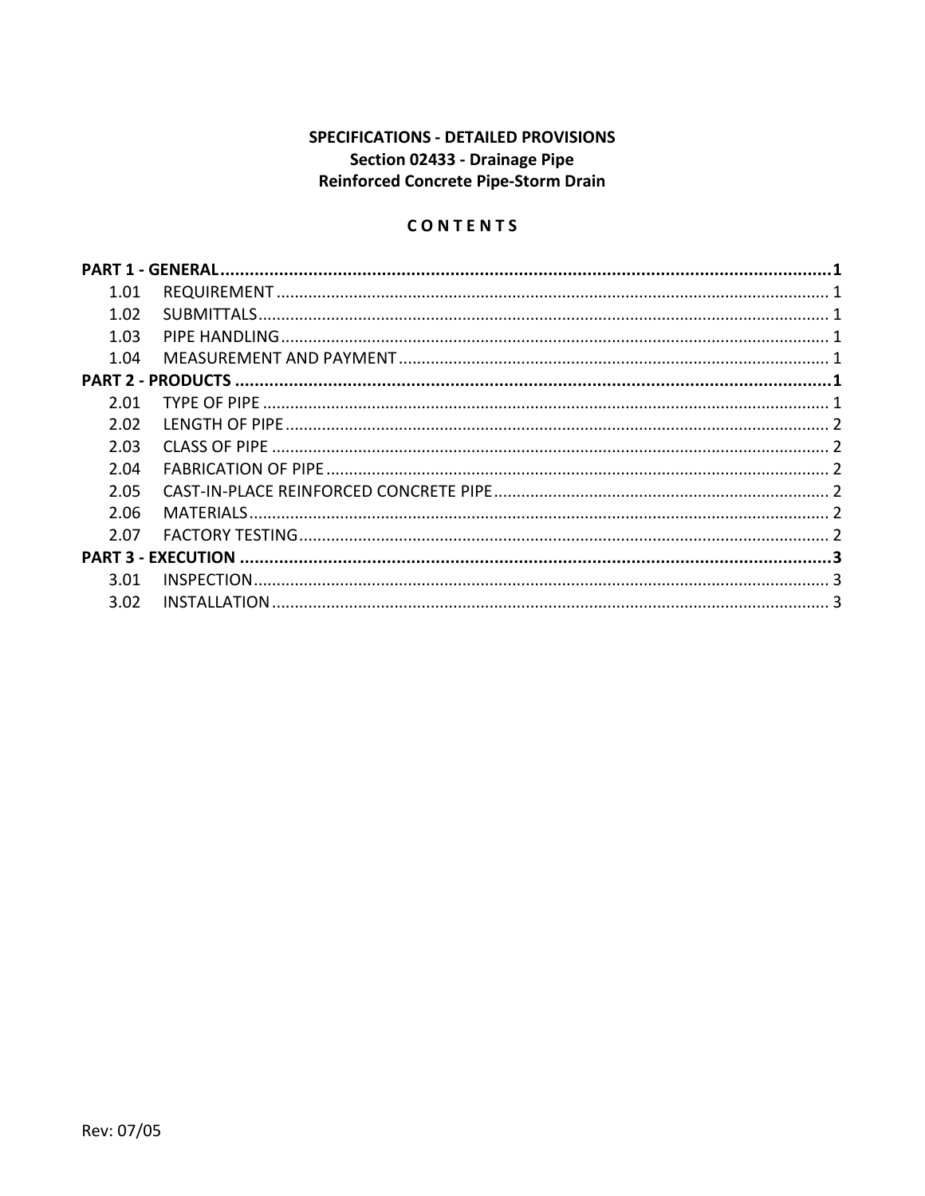# **SPECIFICATIONS - DETAILED PROVISIONS** Section 02433 - Drainage Pipe Reinforced Concrete Pipe-Storm Drain

# CONTENTS

| 1.01 |  |  |
|------|--|--|
| 1.02 |  |  |
| 1.03 |  |  |
| 1.04 |  |  |
|      |  |  |
| 2.01 |  |  |
| 2.02 |  |  |
| 2.03 |  |  |
| 2.04 |  |  |
| 2.05 |  |  |
| 2.06 |  |  |
| 2.07 |  |  |
|      |  |  |
| 3.01 |  |  |
| 3.02 |  |  |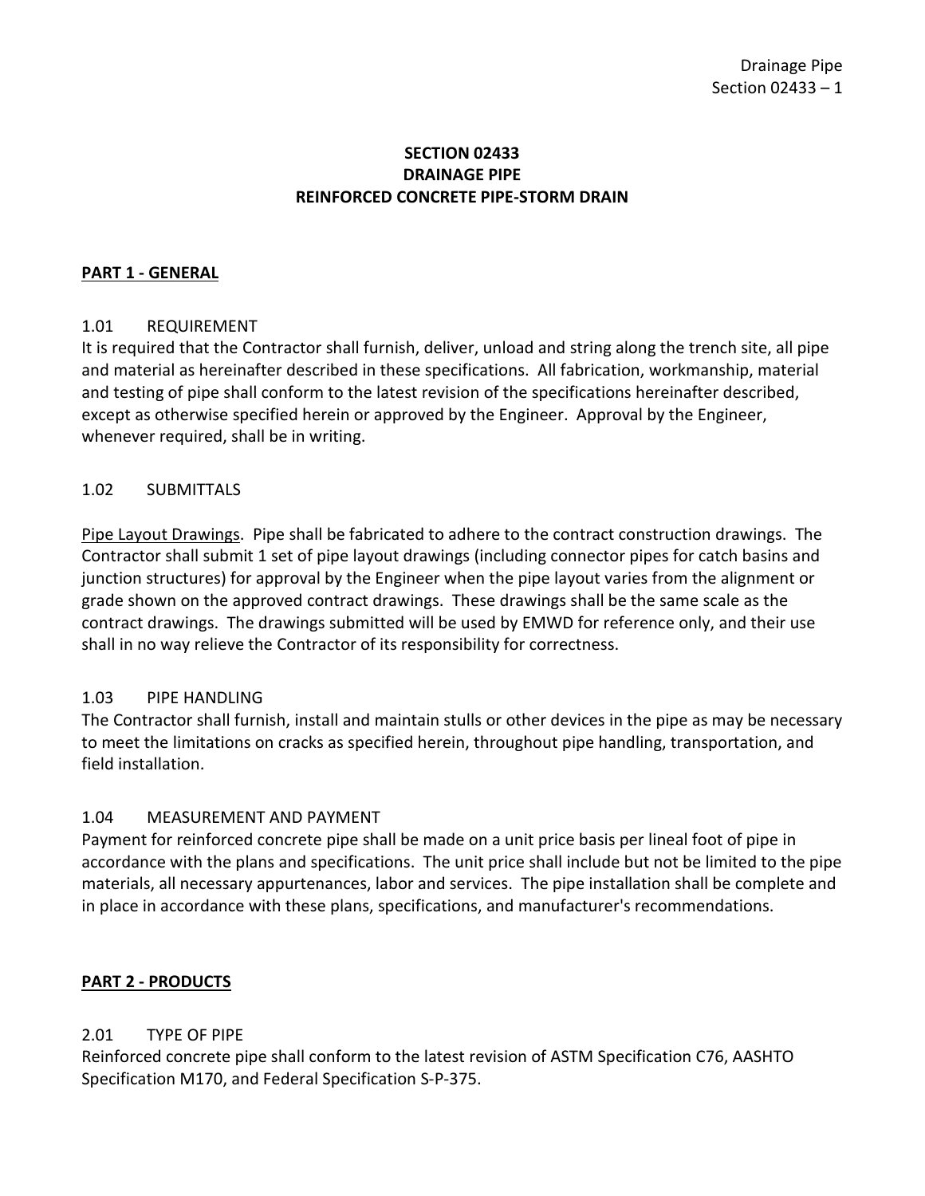### **SECTION 02433 DRAINAGE PIPE REINFORCED CONCRETE PIPE-STORM DRAIN**

### <span id="page-2-0"></span>**PART 1 - GENERAL**

#### <span id="page-2-1"></span>1.01 REQUIREMENT

It is required that the Contractor shall furnish, deliver, unload and string along the trench site, all pipe and material as hereinafter described in these specifications. All fabrication, workmanship, material and testing of pipe shall conform to the latest revision of the specifications hereinafter described, except as otherwise specified herein or approved by the Engineer. Approval by the Engineer, whenever required, shall be in writing.

#### <span id="page-2-2"></span>1.02 SUBMITTALS

Pipe Layout Drawings. Pipe shall be fabricated to adhere to the contract construction drawings. The Contractor shall submit 1 set of pipe layout drawings (including connector pipes for catch basins and junction structures) for approval by the Engineer when the pipe layout varies from the alignment or grade shown on the approved contract drawings. These drawings shall be the same scale as the contract drawings. The drawings submitted will be used by EMWD for reference only, and their use shall in no way relieve the Contractor of its responsibility for correctness.

#### <span id="page-2-3"></span>1.03 PIPE HANDLING

The Contractor shall furnish, install and maintain stulls or other devices in the pipe as may be necessary to meet the limitations on cracks as specified herein, throughout pipe handling, transportation, and field installation.

#### <span id="page-2-4"></span>1.04 MEASUREMENT AND PAYMENT

Payment for reinforced concrete pipe shall be made on a unit price basis per lineal foot of pipe in accordance with the plans and specifications. The unit price shall include but not be limited to the pipe materials, all necessary appurtenances, labor and services. The pipe installation shall be complete and in place in accordance with these plans, specifications, and manufacturer's recommendations.

#### <span id="page-2-5"></span>**PART 2 - PRODUCTS**

### <span id="page-2-6"></span>2.01 TYPE OF PIPE

Reinforced concrete pipe shall conform to the latest revision of ASTM Specification C76, AASHTO Specification M170, and Federal Specification S-P-375.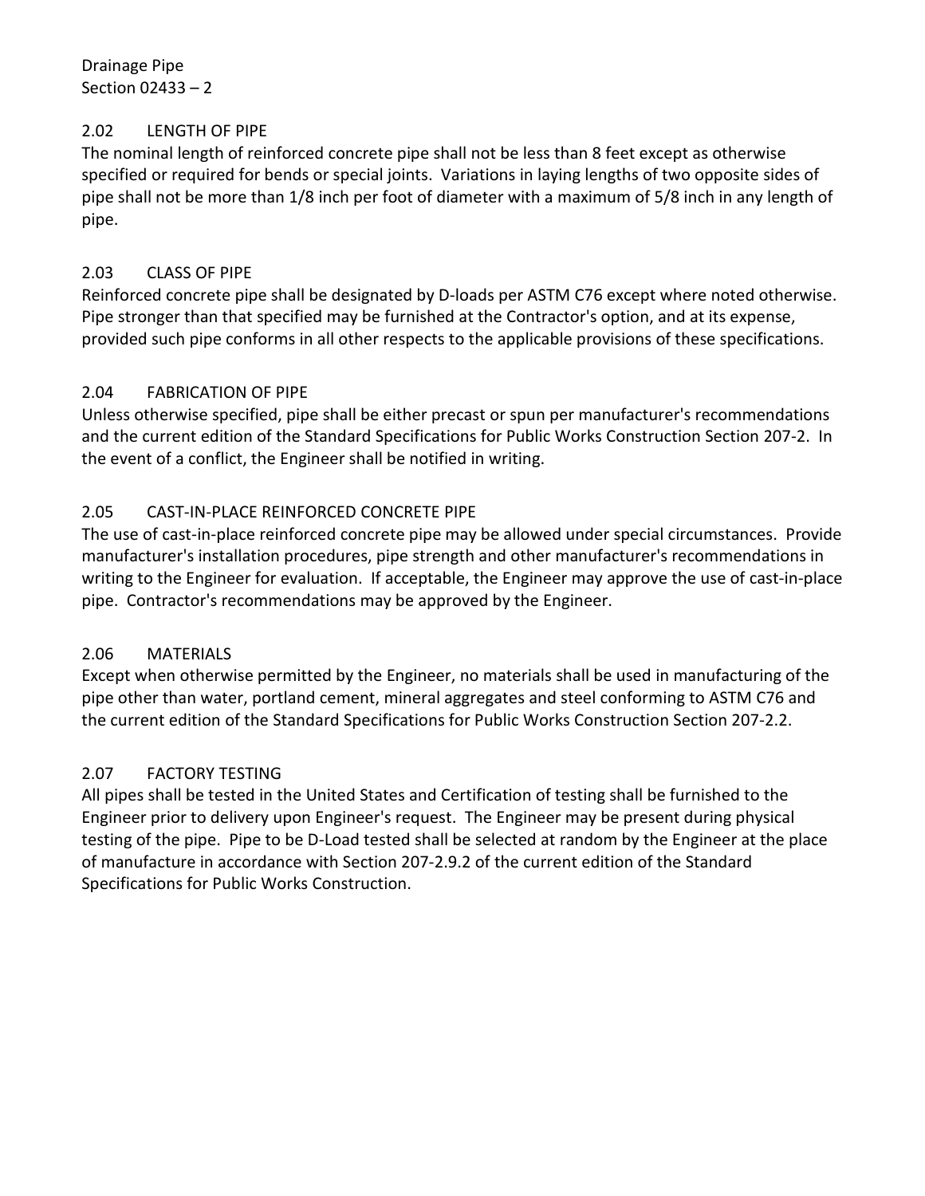Drainage Pipe Section 02433 – 2

### <span id="page-3-0"></span>2.02 LENGTH OF PIPE

The nominal length of reinforced concrete pipe shall not be less than 8 feet except as otherwise specified or required for bends or special joints. Variations in laying lengths of two opposite sides of pipe shall not be more than 1/8 inch per foot of diameter with a maximum of 5/8 inch in any length of pipe.

# <span id="page-3-1"></span>2.03 CLASS OF PIPE

Reinforced concrete pipe shall be designated by D-loads per ASTM C76 except where noted otherwise. Pipe stronger than that specified may be furnished at the Contractor's option, and at its expense, provided such pipe conforms in all other respects to the applicable provisions of these specifications.

# <span id="page-3-2"></span>2.04 FABRICATION OF PIPE

Unless otherwise specified, pipe shall be either precast or spun per manufacturer's recommendations and the current edition of the Standard Specifications for Public Works Construction Section 207-2. In the event of a conflict, the Engineer shall be notified in writing.

# <span id="page-3-3"></span>2.05 CAST-IN-PLACE REINFORCED CONCRETE PIPE

The use of cast-in-place reinforced concrete pipe may be allowed under special circumstances. Provide manufacturer's installation procedures, pipe strength and other manufacturer's recommendations in writing to the Engineer for evaluation. If acceptable, the Engineer may approve the use of cast-in-place pipe. Contractor's recommendations may be approved by the Engineer.

# <span id="page-3-4"></span>2.06 MATERIALS

Except when otherwise permitted by the Engineer, no materials shall be used in manufacturing of the pipe other than water, portland cement, mineral aggregates and steel conforming to ASTM C76 and the current edition of the Standard Specifications for Public Works Construction Section 207-2.2.

# <span id="page-3-5"></span>2.07 FACTORY TESTING

All pipes shall be tested in the United States and Certification of testing shall be furnished to the Engineer prior to delivery upon Engineer's request. The Engineer may be present during physical testing of the pipe. Pipe to be D-Load tested shall be selected at random by the Engineer at the place of manufacture in accordance with Section 207-2.9.2 of the current edition of the Standard Specifications for Public Works Construction.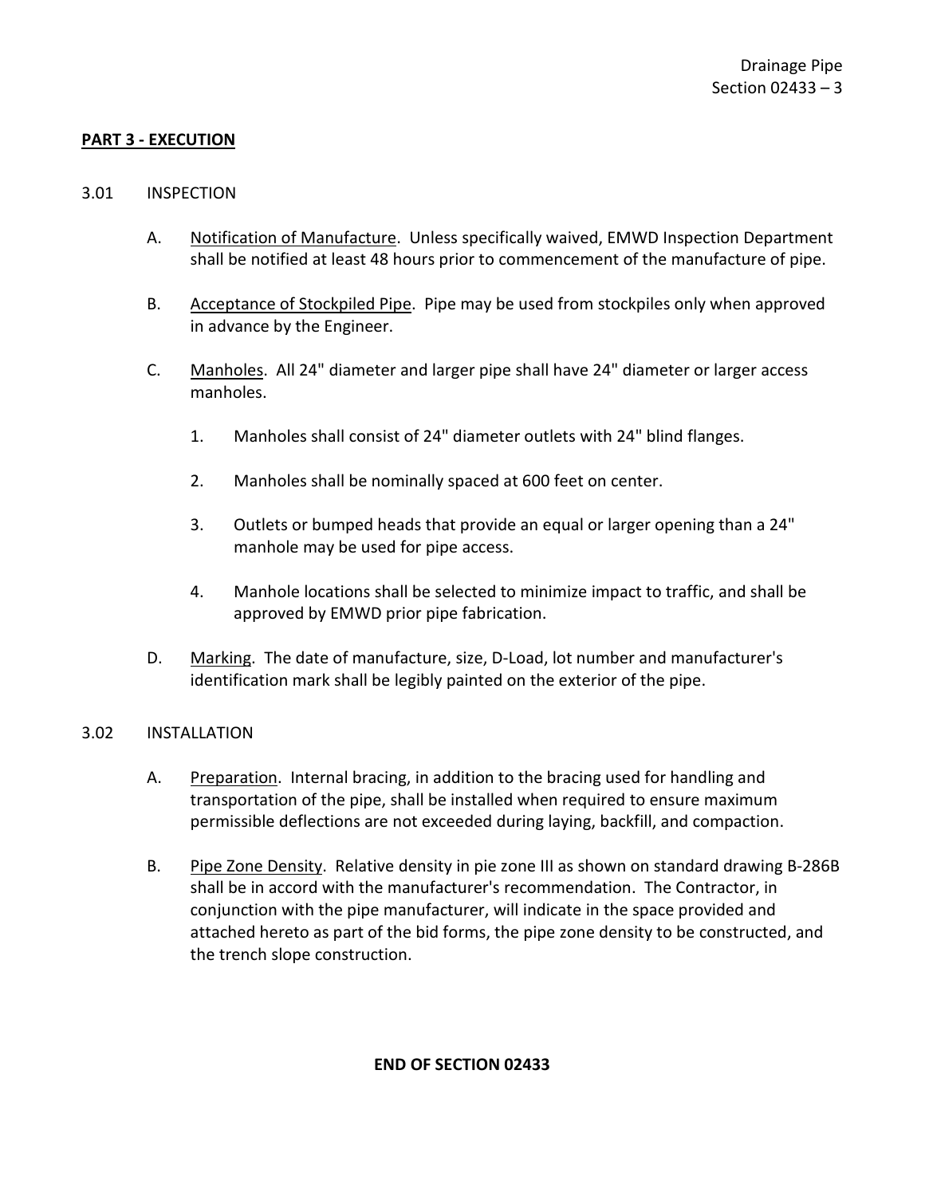### <span id="page-4-0"></span>**PART 3 - EXECUTION**

#### <span id="page-4-1"></span>3.01 INSPECTION

- A. Notification of Manufacture. Unless specifically waived, EMWD Inspection Department shall be notified at least 48 hours prior to commencement of the manufacture of pipe.
- B. Acceptance of Stockpiled Pipe. Pipe may be used from stockpiles only when approved in advance by the Engineer.
- C. Manholes. All 24" diameter and larger pipe shall have 24" diameter or larger access manholes.
	- 1. Manholes shall consist of 24" diameter outlets with 24" blind flanges.
	- 2. Manholes shall be nominally spaced at 600 feet on center.
	- 3. Outlets or bumped heads that provide an equal or larger opening than a 24" manhole may be used for pipe access.
	- 4. Manhole locations shall be selected to minimize impact to traffic, and shall be approved by EMWD prior pipe fabrication.
- D. Marking. The date of manufacture, size, D-Load, lot number and manufacturer's identification mark shall be legibly painted on the exterior of the pipe.

### <span id="page-4-2"></span>3.02 INSTALLATION

- A. Preparation. Internal bracing, in addition to the bracing used for handling and transportation of the pipe, shall be installed when required to ensure maximum permissible deflections are not exceeded during laying, backfill, and compaction.
- B. Pipe Zone Density. Relative density in pie zone III as shown on standard drawing B-286B shall be in accord with the manufacturer's recommendation. The Contractor, in conjunction with the pipe manufacturer, will indicate in the space provided and attached hereto as part of the bid forms, the pipe zone density to be constructed, and the trench slope construction.

### **END OF SECTION 02433**